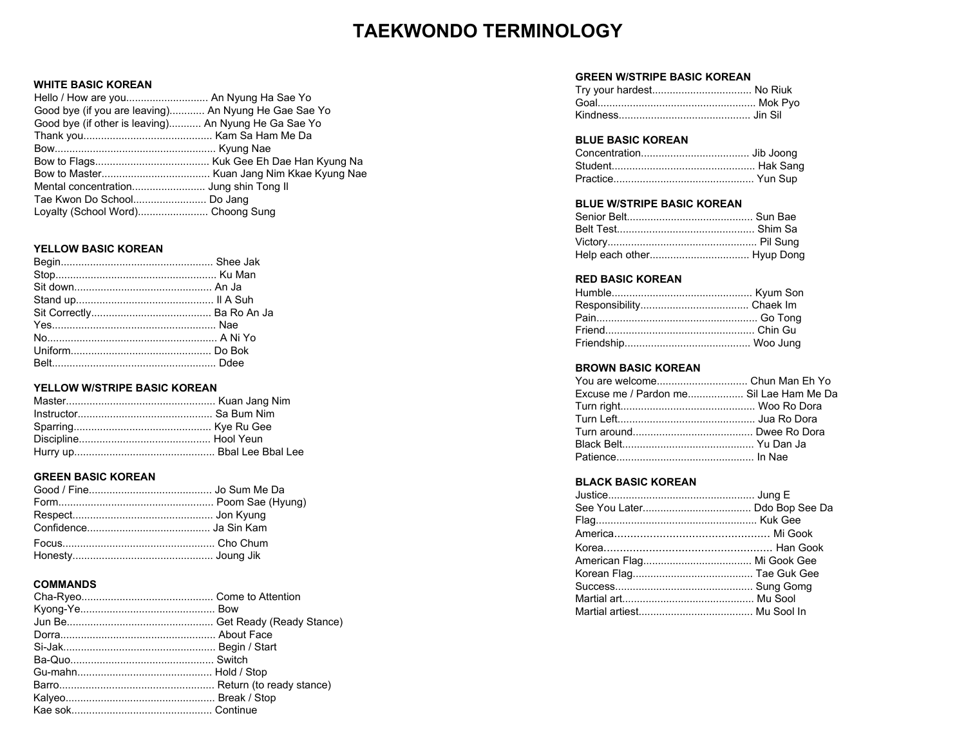## **TAEKWONDO TERMINOLOGY**

### **WHITE BASIC KOREAN**

| Hello / How are you An Nyung Ha Sae Yo               |  |
|------------------------------------------------------|--|
| Good bye (if you are leaving) An Nyung He Gae Sae Yo |  |
| Good bye (if other is leaving) An Nyung He Ga Sae Yo |  |
|                                                      |  |
|                                                      |  |
|                                                      |  |
|                                                      |  |
|                                                      |  |
|                                                      |  |
|                                                      |  |

#### **YELLOW BASIC KOREAN**

#### **YELLOW W/STRIPE BASIC KOREAN**

#### **GREEN BASIC KOREAN**

#### **COMMANDS**

#### **GREEN W/STRIPE BASIC KOREAN**

| Try your hardest No Riuk |  |
|--------------------------|--|
|                          |  |
|                          |  |

#### **BLUE BASIC KOREAN**

#### **BLUE W/STRIPE BASIC KOREAN**

#### **RED BASIC KOREAN**

#### **BROWN BASIC KOREAN**

| Excuse me / Pardon me Sil Lae Ham Me Da |  |
|-----------------------------------------|--|
|                                         |  |
|                                         |  |
|                                         |  |
|                                         |  |
|                                         |  |
|                                         |  |

#### **BLACK BASIC KOREAN**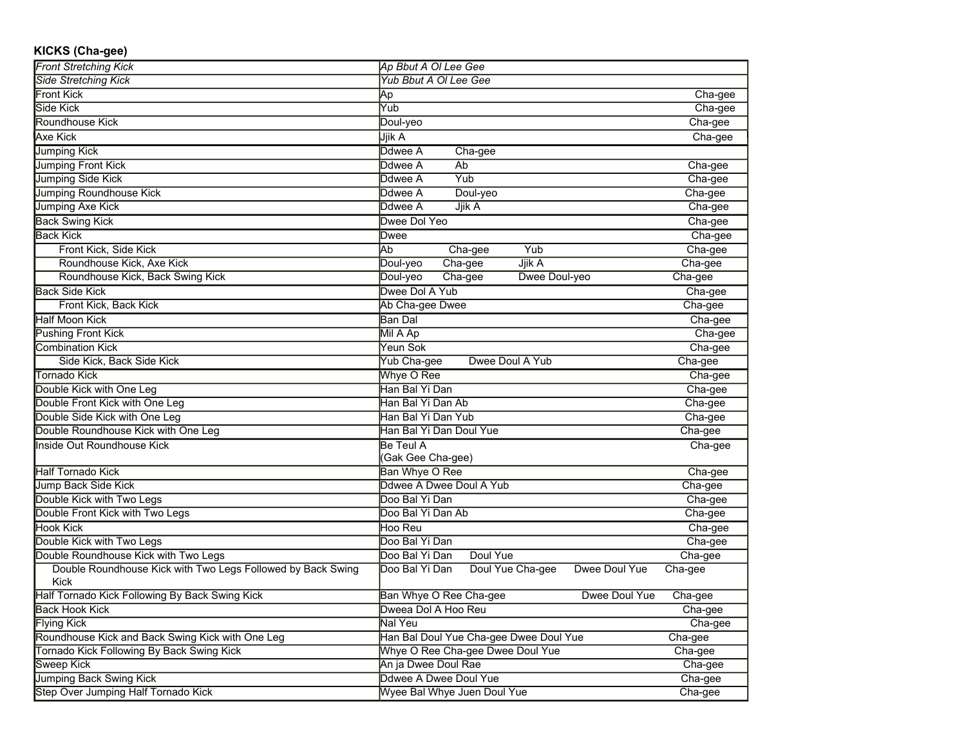| KICKS (Cha-gee)<br><b>Front Stretching Kick</b>                            |                                                     |         |
|----------------------------------------------------------------------------|-----------------------------------------------------|---------|
| <b>Side Stretching Kick</b>                                                | Ap Bbut A OI Lee Gee                                |         |
|                                                                            | <b>Yub Bbut A OI Lee Gee</b>                        |         |
| Front Kick                                                                 | Ap                                                  | Cha-gee |
| Side Kick                                                                  | Yub                                                 | Cha-gee |
| Roundhouse Kick                                                            | Doul-yeo                                            | Cha-gee |
| Axe Kick                                                                   | Jjik A                                              | Cha-gee |
| <b>Jumping Kick</b>                                                        | Ddwee A<br>Cha-gee                                  |         |
| <b>Jumping Front Kick</b>                                                  | Ab<br>Ddwee A                                       | Cha-gee |
| <b>Jumping Side Kick</b>                                                   | Yub<br>Ddwee A                                      | Cha-gee |
| <b>Jumping Roundhouse Kick</b>                                             | Doul-yeo<br>Ddwee A                                 | Cha-gee |
| Jumping Axe Kick                                                           | Jjik A<br>Ddwee A                                   | Cha-gee |
| <b>Back Swing Kick</b>                                                     | Dwee Dol Yeo                                        | Cha-gee |
| <b>Back Kick</b>                                                           | Dwee                                                | Cha-gee |
| Front Kick, Side Kick                                                      | Yub<br>Ab<br>Cha-gee                                | Cha-gee |
| Roundhouse Kick, Axe Kick                                                  | Cha-gee<br>Jjik A<br>Doul-yeo                       | Cha-gee |
| Roundhouse Kick, Back Swing Kick                                           | Dwee Doul-yeo<br>Cha-gee<br>Doul-yeo                | Cha-gee |
| <b>Back Side Kick</b>                                                      | Dwee Dol A Yub                                      | Cha-gee |
| Front Kick, Back Kick                                                      | Ab Cha-gee Dwee                                     | Cha-gee |
| Half Moon Kick                                                             | Ban Dal                                             | Cha-gee |
| <b>Pushing Front Kick</b>                                                  | Mil A Ap                                            | Cha-gee |
| <b>Combination Kick</b>                                                    | Yeun Sok                                            | Cha-gee |
| Side Kick, Back Side Kick                                                  | Yub Cha-gee<br>Dwee Doul A Yub                      | Cha-gee |
| Tornado Kick                                                               | Whye O Ree                                          | Cha-gee |
| Double Kick with One Leg                                                   | Han Bal Yi Dan                                      | Cha-gee |
| Double Front Kick with One Leg                                             | Han Bal Yi Dan Ab                                   | Cha-gee |
| Double Side Kick with One Leg                                              | Han Bal Yi Dan Yub                                  | Cha-gee |
| Double Roundhouse Kick with One Leg                                        | Han Bal Yi Dan Doul Yue                             | Cha-gee |
| <b>Inside Out Roundhouse Kick</b>                                          | <b>Be Teul A</b>                                    | Cha-gee |
|                                                                            | (Gak Gee Cha-gee)                                   |         |
| <b>Half Tornado Kick</b>                                                   | <b>Ban Whye O Ree</b>                               | Cha-gee |
| Jump Back Side Kick                                                        | Ddwee A Dwee Doul A Yub                             | Cha-gee |
| Double Kick with Two Legs                                                  | Doo Bal Yi Dan                                      | Cha-gee |
| Double Front Kick with Two Legs                                            | Doo Bal Yi Dan Ab                                   | Cha-gee |
| Hook Kick                                                                  | Hoo Reu                                             | Cha-gee |
| Double Kick with Two Legs                                                  | Doo Bal Yi Dan                                      | Cha-gee |
| Double Roundhouse Kick with Two Legs                                       | Doo Bal Yi Dan<br>Doul Yue                          | Cha-gee |
| Double Roundhouse Kick with Two Legs Followed by Back Swing<br><b>Kick</b> | Doo Bal Yi Dan<br>Doul Yue Cha-gee<br>Dwee Doul Yue | Cha-gee |
| Half Tornado Kick Following By Back Swing Kick                             | Ban Whye O Ree Cha-gee<br>Dwee Doul Yue             | Cha-gee |
| <b>Back Hook Kick</b>                                                      | Dweea Dol A Hoo Reu                                 | Cha-gee |
| <b>Flying Kick</b>                                                         | Nal Yeu                                             | Cha-gee |
| Roundhouse Kick and Back Swing Kick with One Leg                           | Han Bal Doul Yue Cha-gee Dwee Doul Yue              | Cha-gee |
| Tornado Kick Following By Back Swing Kick                                  | Whye O Ree Cha-gee Dwee Doul Yue                    | Cha-gee |
| Sweep Kick                                                                 | An ia Dwee Doul Rae                                 | Cha-gee |
|                                                                            |                                                     |         |

Jumping Back Swing Kick **Discrete A Discrete A Discrete A Discrete A Discrete A Discrete A Discrete A Discrete A Discrete A Discrete A Discrete A Discrete A Discrete A Discrete A Discrete A Discrete A Discrete A Discrete A** Step Over Jumping Half Tornado Kick **Wyee Bal Whye Juen Doul Yue** Cha-gee Cha-gee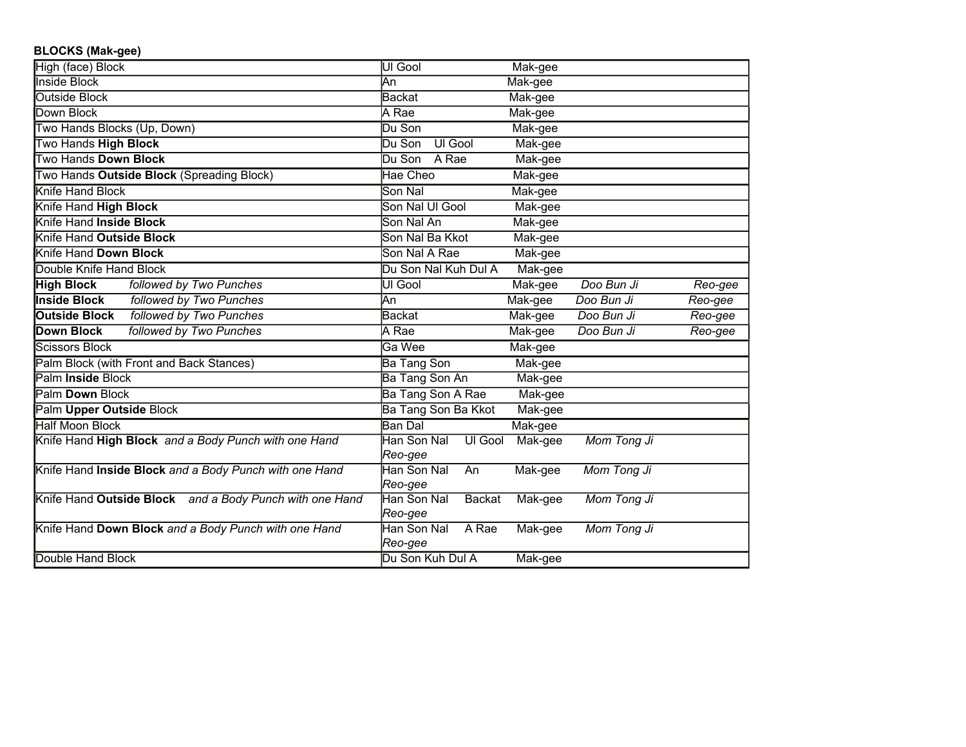## **BLOCKS (Mak-gee)**

| High (face) Block                                       | UI Gool                         | Mak-gee |             |         |
|---------------------------------------------------------|---------------------------------|---------|-------------|---------|
| <b>Inside Block</b>                                     | Αn                              | Mak-gee |             |         |
| <b>Outside Block</b>                                    | Backat                          | Mak-gee |             |         |
| Down Block                                              | A Rae                           | Mak-gee |             |         |
| Two Hands Blocks (Up, Down)                             | Du Son                          | Mak-gee |             |         |
| Two Hands High Block                                    | <b>UI Gool</b><br>Du Son        | Mak-gee |             |         |
| Two Hands Down Block                                    | Du Son<br>A Rae                 | Mak-gee |             |         |
| Two Hands Outside Block (Spreading Block)               | Hae Cheo                        | Mak-gee |             |         |
| Knife Hand Block                                        | Son Nal                         | Mak-gee |             |         |
| Knife Hand High Block                                   | Son Nal UI Gool                 | Mak-gee |             |         |
| Knife Hand Inside Block                                 | Son Nal An                      | Mak-gee |             |         |
| Knife Hand Outside Block                                | Son Nal Ba Kkot                 | Mak-gee |             |         |
| Knife Hand Down Block                                   | Son Nal A Rae                   | Mak-gee |             |         |
| Double Knife Hand Block                                 | Du Son Nal Kuh Dul A            | Mak-gee |             |         |
| <b>High Block</b><br>followed by Two Punches            | UI Gool                         | Mak-gee | Doo Bun Ji  | Reo-gee |
| <b>Inside Block</b><br>followed by Two Punches          | <b>J</b> An                     | Mak-gee | Doo Bun Ji  | Reo-gee |
| followed by Two Punches<br><b>Outside Block</b>         | Backat                          | Mak-gee | Doo Bun Ji  | Reo-gee |
| <b>Down Block</b><br>followed by Two Punches            | A Rae                           | Mak-gee | Doo Bun Ji  | Reo-gee |
| Scissors Block                                          | Ga Wee                          | Mak-gee |             |         |
| Palm Block (with Front and Back Stances)                | <b>Ba Tang Son</b>              | Mak-gee |             |         |
| Palm Inside Block                                       | <b>Ba Tang Son An</b>           | Mak-gee |             |         |
| Palm Down Block                                         | Ba Tang Son A Rae               | Mak-gee |             |         |
| Palm Upper Outside Block                                | Ba Tang Son Ba Kkot             | Mak-gee |             |         |
| <b>Half Moon Block</b>                                  | Ban Dal                         | Mak-gee |             |         |
| Knife Hand High Block and a Body Punch with one Hand    | Han Son Nal<br>UI Gool          | Mak-gee | Mom Tong Ji |         |
|                                                         | Reo-gee                         |         |             |         |
| Knife Hand Inside Block and a Body Punch with one Hand  | Han Son Nal<br>An               | Mak-gee | Mom Tong Ji |         |
|                                                         | Reo-gee                         |         |             |         |
| Knife Hand Outside Block and a Body Punch with one Hand | Han Son Nal<br><b>Backat</b>    | Mak-gee | Mom Tong Ji |         |
| Knife Hand Down Block and a Body Punch with one Hand    | Reo-gee<br>Han Son Nal<br>A Rae |         | Mom Tong Ji |         |
|                                                         | Reo-gee                         | Mak-gee |             |         |
| Double Hand Block                                       | Du Son Kuh Dul A                | Mak-gee |             |         |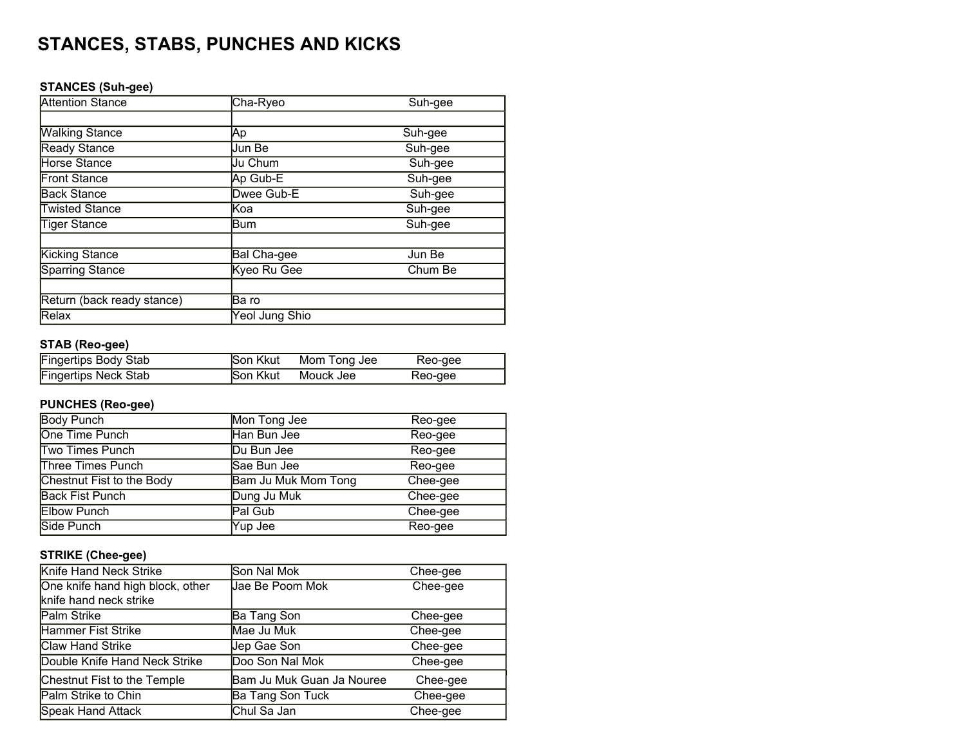# **STANCES, STABS, PUNCHES AND KICKS**

## **STANCES (Suh-gee)**

| <b>Attention Stance</b>    | Cha-Ryeo           | Suh-gee |
|----------------------------|--------------------|---------|
|                            |                    |         |
| <b>Walking Stance</b>      | ΙAр                | Suh-gee |
| Ready Stance               | <b>Jun Be</b>      | Suh-gee |
| Horse Stance               | Uu Chum            | Suh-gee |
| Front Stance               | Ap Gub-E           | Suh-gee |
| <b>Back Stance</b>         | Dwee Gub-E         | Suh-gee |
| <b>Twisted Stance</b>      | <b>Koa</b>         | Suh-gee |
| <b>Tiger Stance</b>        | Bum                | Suh-gee |
| <b>Kicking Stance</b>      | <b>Bal Cha-gee</b> | Jun Be  |
| <b>Sparring Stance</b>     | Kyeo Ru Gee        | Chum Be |
|                            |                    |         |
| Return (back ready stance) | Ba ro              |         |
| Relax                      | Yeol Jung Shio     |         |

## **STAB (Reo-gee)**

| <b>Fingertips Body Stab</b> | Son Kkut        | Mom Tong Jee | Reo-gee |
|-----------------------------|-----------------|--------------|---------|
| <b>Fingertips Neck Stab</b> | <b>Son Kkut</b> | Mouck Jee    | Reo-gee |

## **PUNCHES (Reo-gee)**

| <b>Body Punch</b>         | Mon Tong Jee               | Reo-gee  |
|---------------------------|----------------------------|----------|
| One Time Punch            | Han Bun Jee                | Reo-gee  |
| <b>Two Times Punch</b>    | Du Bun Jee                 | Reo-gee  |
| <b>Three Times Punch</b>  | Sae Bun Jee                | Reo-gee  |
| Chestnut Fist to the Body | <b>Bam Ju Muk Mom Tong</b> | Chee-gee |
| <b>Back Fist Punch</b>    | Dung Ju Muk                | Chee-gee |
| <b>Elbow Punch</b>        | Pal Gub                    | Chee-gee |
| Side Punch                | Yup Jee                    | Reo-gee  |

## **STRIKE (Chee-gee)**

| Knife Hand Neck Strike                                     | Son Nal Mok               | Chee-gee |
|------------------------------------------------------------|---------------------------|----------|
| One knife hand high block, other<br>knife hand neck strike | Jae Be Poom Mok           | Chee-gee |
| Palm Strike                                                | Ba Tang Son               | Chee-gee |
| <b>Hammer Fist Strike</b>                                  | Mae Ju Muk                | Chee-gee |
| <b>Claw Hand Strike</b>                                    | Jep Gae Son               | Chee-gee |
| Double Knife Hand Neck Strike                              | Doo Son Nal Mok           | Chee-gee |
| Chestnut Fist to the Temple                                | Bam Ju Muk Guan Ja Nouree | Chee-gee |
| Palm Strike to Chin                                        | Ba Tang Son Tuck          | Chee-gee |
| <b>Speak Hand Attack</b>                                   | <b>Chul Sa Jan</b>        | Chee-gee |